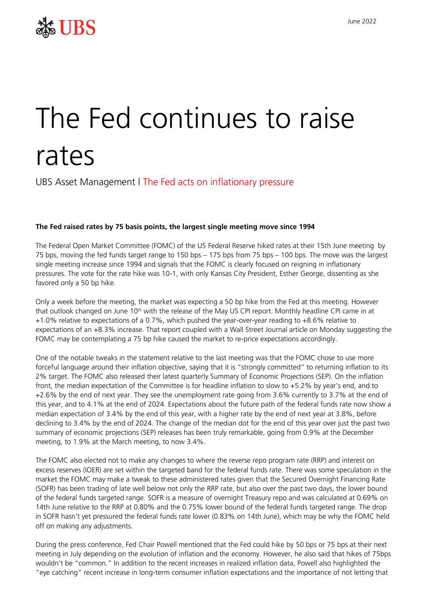

## The Fed continues to raise rates

UBS Asset Management I The Fed acts on inflationary pressure

## **The Fed raised rates by 75 basis points, the largest single meeting move since 1994**

The Federal Open Market Committee (FOMC) of the US Federal Reserve hiked rates at their 15th June meeting by 75 bps, moving the fed funds target range to 150 bps – 175 bps from 75 bps – 100 bps. The move was the largest single meeting increase since 1994 and signals that the FOMC is clearly focused on reigning in inflationary pressures. The vote for the rate hike was 10-1, with only Kansas City President, Esther George, dissenting as she favored only a 50 bp hike.

Only a week before the meeting, the market was expecting a 50 bp hike from the Fed at this meeting. However that outlook changed on June 10<sup>th</sup> with the release of the May US CPI report. Monthly headline CPI came in at +1.0% relative to expectations of a 0.7%, which pushed the year-over-year reading to +8.6% relative to expectations of an +8.3% increase. That report coupled with a Wall Street Journal article on Monday suggesting the FOMC may be contemplating a 75 bp hike caused the market to re-price expectations accordingly.

One of the notable tweaks in the statement relative to the last meeting was that the FOMC chose to use more forceful language around their inflation objective, saying that it is "strongly committed" to returning inflation to its 2% target. The FOMC also released their latest quarterly Summary of Economic Projections (SEP). On the inflation front, the median expectation of the Committee is for headline inflation to slow to +5.2% by year's end, and to +2.6% by the end of next year. They see the unemployment rate going from 3.6% currently to 3.7% at the end of this year, and to 4.1% at the end of 2024. Expectations about the future path of the federal funds rate now show a median expectation of 3.4% by the end of this year, with a higher rate by the end of next year at 3.8%, before declining to 3.4% by the end of 2024. The change of the median dot for the end of this year over just the past two summary of economic projections (SEP) releases has been truly remarkable, going from 0.9% at the December meeting, to 1.9% at the March meeting, to now 3.4%.

The FOMC also elected not to make any changes to where the reverse repo program rate (RRP) and interest on excess reserves (IOER) are set within the targeted band for the federal funds rate. There was some speculation in the market the FOMC may make a tweak to these administered rates given that the Secured Overnight Financing Rate (SOFR) has been trading of late well below not only the RRP rate, but also over the past two days, the lower bound of the federal funds targeted range. SOFR is a measure of overnight Treasury repo and was calculated at 0.69% on 14th June relative to the RRP at 0.80% and the 0.75% lower bound of the federal funds targeted range. The drop in SOFR hasn't yet pressured the federal funds rate lower (0.83% on 14th June), which may be why the FOMC held off on making any adjustments.

During the press conference, Fed Chair Powell mentioned that the Fed could hike by 50 bps or 75 bps at their next meeting in July depending on the evolution of inflation and the economy. However, he also said that hikes of 75bps wouldn't be "common." In addition to the recent increases in realized inflation data, Powell also highlighted the "eye catching" recent increase in long-term consumer inflation expectations and the importance of not letting that